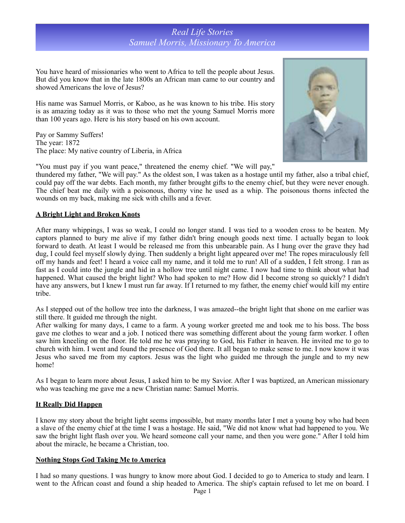# *Real Life Stories Samuel Morris, Missionary To America*

You have heard of missionaries who went to Africa to tell the people about Jesus. But did you know that in the late 1800s an African man came to our country and showed Americans the love of Jesus?

His name was Samuel Morris, or Kaboo, as he was known to his tribe. His story is as amazing today as it was to those who met the young Samuel Morris more than 100 years ago. Here is his story based on his own account.

Pay or Sammy Suffers! The year: 1872 The place: My native country of Liberia, in Africa



"You must pay if you want peace," threatened the enemy chief. "We will pay,"

thundered my father, "We will pay." As the oldest son, I was taken as a hostage until my father, also a tribal chief, could pay off the war debts. Each month, my father brought gifts to the enemy chief, but they were never enough. The chief beat me daily with a poisonous, thorny vine he used as a whip. The poisonous thorns infected the wounds on my back, making me sick with chills and a fever.

### **A Bright Light and Broken Knots**

After many whippings, I was so weak, I could no longer stand. I was tied to a wooden cross to be beaten. My captors planned to bury me alive if my father didn't bring enough goods next time. I actually began to look forward to death. At least I would be released me from this unbearable pain. As I hung over the grave they had dug, I could feel myself slowly dying. Then suddenly a bright light appeared over me! The ropes miraculously fell off my hands and feet! I heard a voice call my name, and it told me to run! All of a sudden, I felt strong. I ran as fast as I could into the jungle and hid in a hollow tree until night came. I now had time to think about what had happened. What caused the bright light? Who had spoken to me? How did I become strong so quickly? I didn't have any answers, but I knew I must run far away. If I returned to my father, the enemy chief would kill my entire tribe.

As I stepped out of the hollow tree into the darkness, I was amazed--the bright light that shone on me earlier was still there. It guided me through the night.

After walking for many days, I came to a farm. A young worker greeted me and took me to his boss. The boss gave me clothes to wear and a job. I noticed there was something different about the young farm worker. I often saw him kneeling on the floor. He told me he was praying to God, his Father in heaven. He invited me to go to church with him. I went and found the presence of God there. It all began to make sense to me. I now know it was Jesus who saved me from my captors. Jesus was the light who guided me through the jungle and to my new home!

As I began to learn more about Jesus, I asked him to be my Savior. After I was baptized, an American missionary who was teaching me gave me a new Christian name: Samuel Morris.

### **It Really Did Happen**

I know my story about the bright light seems impossible, but many months later I met a young boy who had been a slave of the enemy chief at the time I was a hostage. He said, "We did not know what had happened to you. We saw the bright light flash over you. We heard someone call your name, and then you were gone." After I told him about the miracle, he became a Christian, too.

### **Nothing Stops God Taking Me to America**

I had so many questions. I was hungry to know more about God. I decided to go to America to study and learn. I went to the African coast and found a ship headed to America. The ship's captain refused to let me on board. I